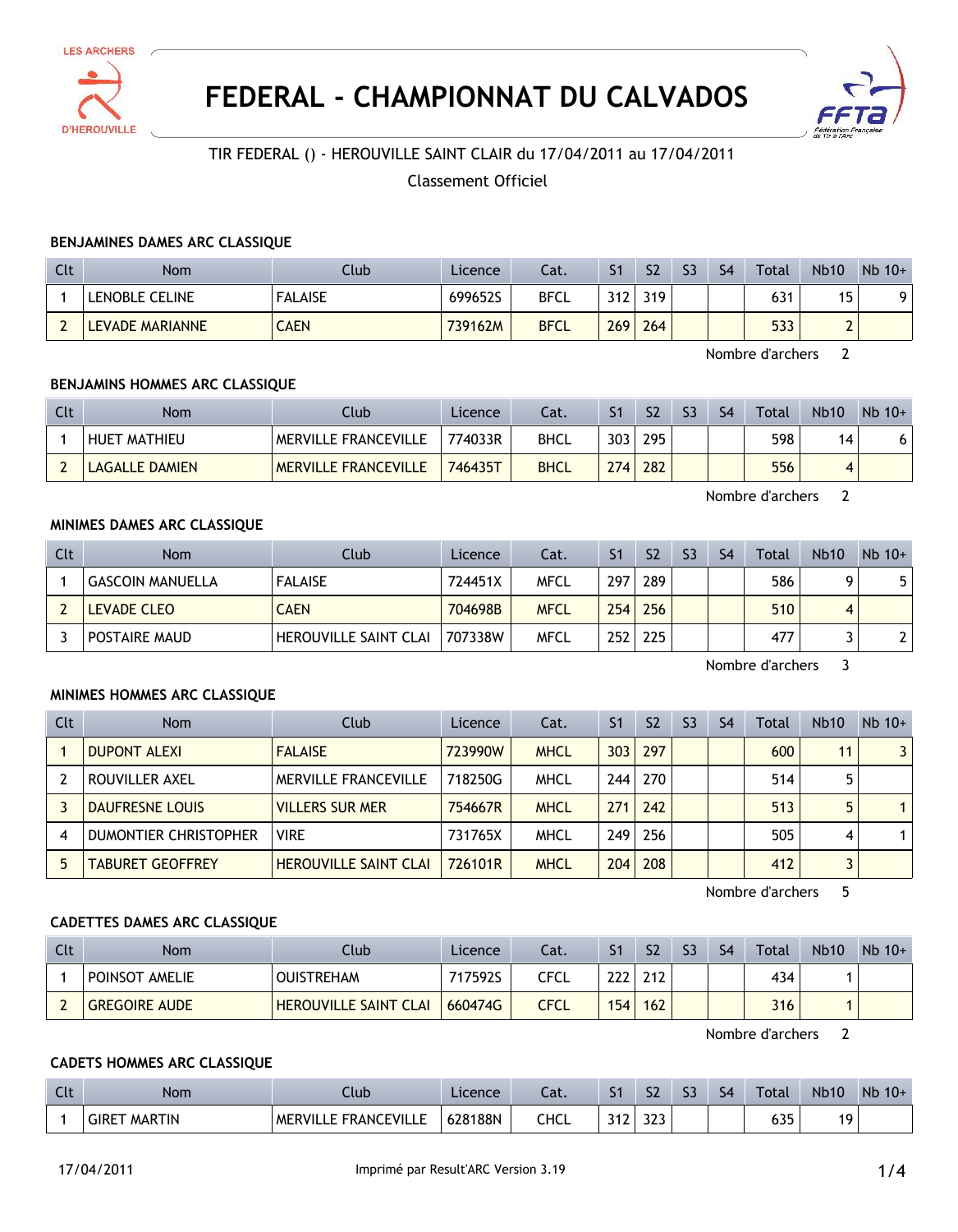



# **FEDERAL - CHAMPIONNAT DU CALVADOS**



## TIR FEDERAL () - HEROUVILLE SAINT CLAIR du 17/04/2011 au 17/04/2011

## Classement Officiel

#### **BENJAMINES DAMES ARC CLASSIQUE**

| Clt | <b>Nom</b>      | Club           | <b>Licence</b> | Cat.        |     | S <sub>2</sub> | S <sub>3</sub> | S4 | Total | <b>Nb10</b> | $Nb$ 10+ |
|-----|-----------------|----------------|----------------|-------------|-----|----------------|----------------|----|-------|-------------|----------|
|     | LENOBLE CELINE  | <b>FALAISE</b> | 699652S        | <b>BFCL</b> | 312 | 319            |                |    | 631   | ' Б<br>י    |          |
|     | LEVADE MARIANNE | <b>AEN</b>     | 739162M        | <b>BFCL</b> | 269 | 264            |                |    | 533   | ∸           |          |

Nombre d'archers 2

#### **BENJAMINS HOMMES ARC CLASSIQUE**

| Clt | Nom                 | Club                        | Licence | Cat.        |     | S <sub>2</sub> | S <sub>3</sub> | S <sub>4</sub> | Total | <b>Nb10</b> | $Nb$ 10+ |
|-----|---------------------|-----------------------------|---------|-------------|-----|----------------|----------------|----------------|-------|-------------|----------|
|     | <b>HUET MATHIEU</b> | <b>MERVILLE FRANCEVILLE</b> | 774033R | <b>BHCL</b> | 303 | 295            |                |                | 598   | 14          |          |
|     | LAGALLE DAMIEN      | <b>MERVILLE FRANCEVILLE</b> | 746435T | <b>BHCL</b> | 274 | 282            |                |                | 556   |             |          |

Nombre d'archers 2

## **MINIMES DAMES ARC CLASSIQUE**

| Clt | <b>Nom</b>              | Club                         | Licence | Cat.        | S <sub>1</sub> | S <sub>2</sub> | S <sub>3</sub> | S <sub>4</sub> | Total | <b>Nb10</b> | $Nb$ 10+ |
|-----|-------------------------|------------------------------|---------|-------------|----------------|----------------|----------------|----------------|-------|-------------|----------|
|     | <b>GASCOIN MANUELLA</b> | <b>FALAISE</b>               | 724451X | <b>MFCL</b> | 297            | 289            |                |                | 586   |             | 5        |
|     | LEVADE CLEO             | <b>CAEN</b>                  | 704698B | <b>MFCL</b> | 254            | 256            |                |                | 510   | 4           |          |
|     | POSTAIRE MAUD           | <b>HEROUVILLE SAINT CLAI</b> | 707338W | MFCL        | 252            | 225            |                |                | 477   |             |          |

Nombre d'archers 3

#### **MINIMES HOMMES ARC CLASSIQUE**

| Clt | <b>Nom</b>              | Club                         | <b>Licence</b> | Cat.        | S <sub>1</sub> | S <sub>2</sub> | S <sub>3</sub> | S <sub>4</sub> | Total | <b>Nb10</b> | $Nb$ 10+                |
|-----|-------------------------|------------------------------|----------------|-------------|----------------|----------------|----------------|----------------|-------|-------------|-------------------------|
|     | <b>DUPONT ALEXI</b>     | <b>FALAISE</b>               | 723990W        | <b>MHCL</b> | 303            | 297            |                |                | 600   | 11          | $\overline{\mathbf{3}}$ |
|     | ROUVILLER AXEL          | <b>MERVILLE FRANCEVILLE</b>  | 718250G        | <b>MHCL</b> |                | 244 270        |                |                | 514   |             |                         |
|     | DAUFRESNE LOUIS         | <b>VILLERS SUR MER</b>       | 754667R        | <b>MHCL</b> | 271            | 242            |                |                | 513   | 5           |                         |
| 4   | DUMONTIER CHRISTOPHER   | <b>VIRE</b>                  | 731765X        | <b>MHCL</b> | 249            | 256            |                |                | 505   | 4           |                         |
|     | <b>TABURET GEOFFREY</b> | <b>HEROUVILLE SAINT CLAI</b> | 726101R        | <b>MHCL</b> | 204            | 208            |                |                | 412   |             |                         |

Nombre d'archers 5

#### **CADETTES DAMES ARC CLASSIQUE**

| Clt | <b>Nom</b>           | Club                         | Licence | Cat. |            | S <sub>2</sub> | S <sub>3</sub> | S <sub>4</sub> | <b>Total</b> | <b>Nb10</b> | $Nb$ 10+ |
|-----|----------------------|------------------------------|---------|------|------------|----------------|----------------|----------------|--------------|-------------|----------|
|     | POINSOT AMELIE       | <b>OUISTREHAM</b>            | 717592S | CFCL | าาา<br>LLL | 212            |                |                | 434          |             |          |
|     | <b>GREGOIRE AUDE</b> | <b>HEROUVILLE SAINT CLAI</b> | 660474G | CFCL | 154        | 162            |                |                | 316          |             |          |

Nombre d'archers 2

## **CADETS HOMMES ARC CLASSIQUE**

| $\Gamma$<br>นเ | Nom                    | .lub                          | Licence | $-1$<br>cal. |             | co<br>ر د  | $\sim$<br>-- | S <sub>4</sub> | Total      | <b>Nb10</b> | $Nb$ 10+ |
|----------------|------------------------|-------------------------------|---------|--------------|-------------|------------|--------------|----------------|------------|-------------|----------|
|                | GIRET<br><b>MARTIN</b> | <b>FRANCEVILLL</b><br>MERVILL | 628188N | CHCL         | ີ່<br>J I L | つつつ<br>د د |              |                | くつに<br>ככט | 10          |          |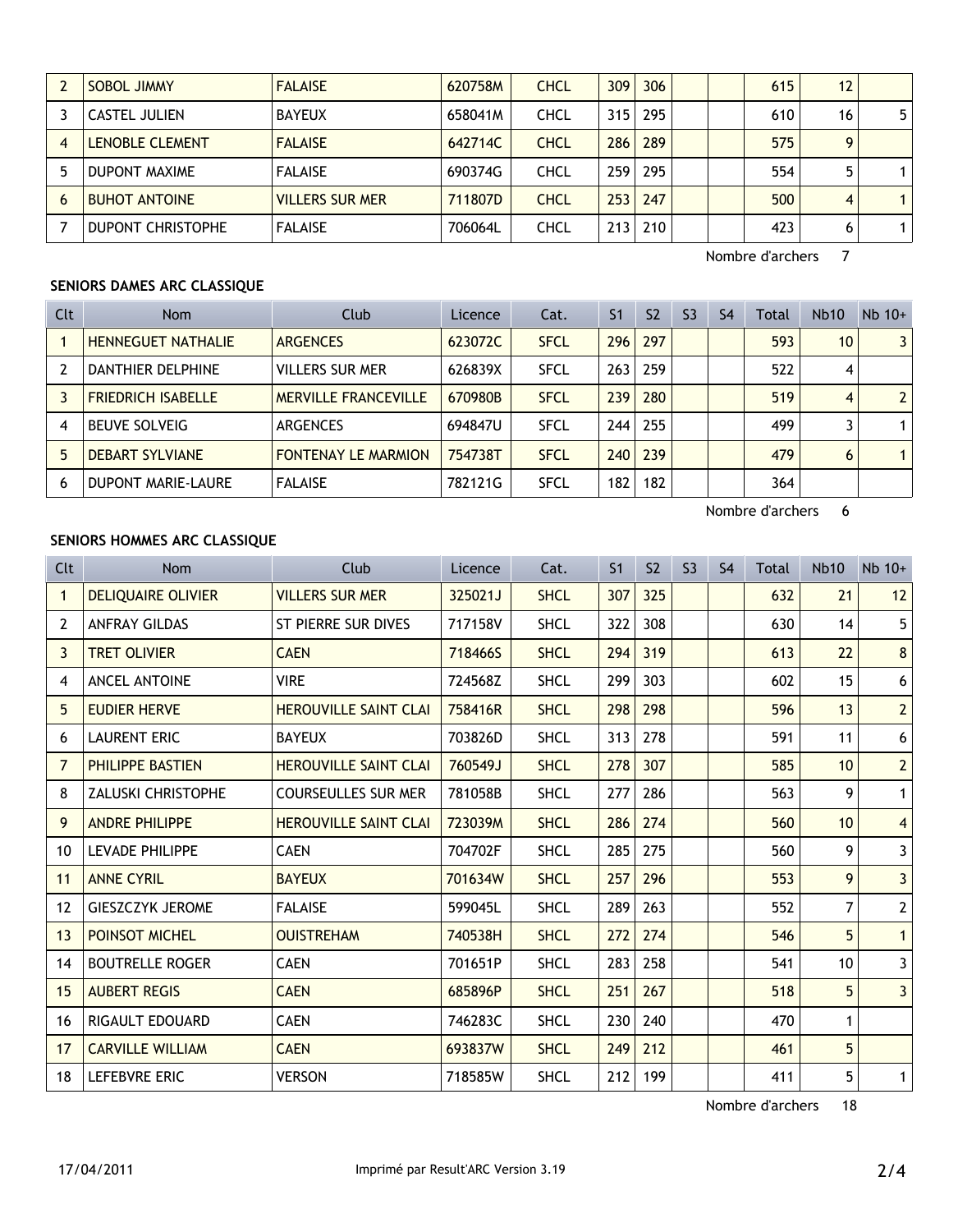|   | <b>SOBOL JIMMY</b>       | <b>FALAISE</b>         | 620758M | <b>CHCL</b> | 309              | 306 |  | 615 | 12 |                |
|---|--------------------------|------------------------|---------|-------------|------------------|-----|--|-----|----|----------------|
|   | CASTEL JULIEN            | <b>BAYEUX</b>          | 658041M | <b>CHCL</b> | 315              | 295 |  | 610 | 16 | 5 <sup>1</sup> |
|   | <b>LENOBLE CLEMENT</b>   | <b>FALAISE</b>         | 642714C | <b>CHCL</b> | 286              | 289 |  | 575 | Q  |                |
|   | DUPONT MAXIME            | <b>FALAISE</b>         | 690374G | <b>CHCL</b> | 259 <sub>1</sub> | 295 |  | 554 |    |                |
| 6 | <b>BUHOT ANTOINE</b>     | <b>VILLERS SUR MER</b> | 711807D | <b>CHCL</b> | 253              | 247 |  | 500 | 4  |                |
|   | <b>DUPONT CHRISTOPHE</b> | <b>FALAISE</b>         | 706064L | <b>CHCL</b> | 213              | 210 |  | 423 | 6  |                |

Nombre d'archers 7

## **SENIORS DAMES ARC CLASSIQUE**

| Clt | <b>Nom</b>                | Club                        | Licence | Cat.        | S <sub>1</sub> | S <sub>2</sub> | S <sub>3</sub> | S4 | Total | <b>Nb10</b>     | $Nb$ 10+       |
|-----|---------------------------|-----------------------------|---------|-------------|----------------|----------------|----------------|----|-------|-----------------|----------------|
|     | <b>HENNEGUET NATHALIE</b> | <b>ARGENCES</b>             | 623072C | <b>SFCL</b> | 296            | 297            |                |    | 593   | 10 <sup>1</sup> | $\overline{3}$ |
|     | DANTHIER DELPHINE         | <b>VILLERS SUR MER</b>      | 626839X | <b>SFCL</b> | 263            | 259            |                |    | 522   | 4               |                |
|     | <b>FRIEDRICH ISABELLE</b> | <b>MERVILLE FRANCEVILLE</b> | 670980B | <b>SFCL</b> | 239            | 280            |                |    | 519   | 4               | 2 <sup>1</sup> |
| 4   | <b>BEUVE SOLVEIG</b>      | <b>ARGENCES</b>             | 694847U | <b>SFCL</b> | 244            | 255            |                |    | 499   |                 |                |
| 5   | <b>DEBART SYLVIANE</b>    | <b>FONTENAY LE MARMION</b>  | 754738T | <b>SFCL</b> | 240            | 239            |                |    | 479   | 6               |                |
| 6   | <b>DUPONT MARIE-LAURE</b> | <b>FALAISE</b>              | 782121G | <b>SFCL</b> | 182            | 182            |                |    | 364   |                 |                |

Nombre d'archers 6

## **SENIORS HOMMES ARC CLASSIQUE**

| Clt               | <b>Nom</b>                | Club                         | Licence | Cat.        | S <sub>1</sub> | S <sub>2</sub> | S <sub>3</sub> | S <sub>4</sub> | Total | <b>Nb10</b>     | $Nb$ 10+       |
|-------------------|---------------------------|------------------------------|---------|-------------|----------------|----------------|----------------|----------------|-------|-----------------|----------------|
| $\mathbf{1}$      | <b>DELIQUAIRE OLIVIER</b> | <b>VILLERS SUR MER</b>       | 325021J | <b>SHCL</b> | 307            | 325            |                |                | 632   | 21              | 12             |
| 2                 | <b>ANFRAY GILDAS</b>      | ST PIERRE SUR DIVES          | 717158V | <b>SHCL</b> | 322            | 308            |                |                | 630   | 14              | 5              |
| 3                 | <b>TRET OLIVIER</b>       | <b>CAEN</b>                  | 718466S | <b>SHCL</b> | 294            | 319            |                |                | 613   | 22              | 8              |
| 4                 | <b>ANCEL ANTOINE</b>      | <b>VIRE</b>                  | 724568Z | <b>SHCL</b> | 299            | 303            |                |                | 602   | 15              | 6              |
| 5.                | <b>EUDIER HERVE</b>       | <b>HEROUVILLE SAINT CLAI</b> | 758416R | <b>SHCL</b> | 298            | 298            |                |                | 596   | 13              | $\overline{2}$ |
| 6                 | <b>LAURENT ERIC</b>       | <b>BAYEUX</b>                | 703826D | <b>SHCL</b> | 313            | 278            |                |                | 591   | 11              | 6              |
| $\overline{7}$    | <b>PHILIPPE BASTIEN</b>   | <b>HEROUVILLE SAINT CLAI</b> | 760549J | <b>SHCL</b> | 278            | 307            |                |                | 585   | 10 <sup>1</sup> | $\overline{2}$ |
| 8                 | <b>ZALUSKI CHRISTOPHE</b> | <b>COURSEULLES SUR MER</b>   | 781058B | <b>SHCL</b> | 277            | 286            |                |                | 563   | 9               | 1              |
| 9                 | <b>ANDRE PHILIPPE</b>     | <b>HEROUVILLE SAINT CLAI</b> | 723039M | <b>SHCL</b> | 286            | 274            |                |                | 560   | 10 <sup>1</sup> | $\overline{4}$ |
| 10                | <b>LEVADE PHILIPPE</b>    | <b>CAEN</b>                  | 704702F | <b>SHCL</b> | 285            | 275            |                |                | 560   | 9               | 3              |
| 11                | <b>ANNE CYRIL</b>         | <b>BAYEUX</b>                | 701634W | <b>SHCL</b> | 257            | 296            |                |                | 553   | 9               | 3              |
| $12 \overline{ }$ | <b>GIESZCZYK JEROME</b>   | <b>FALAISE</b>               | 599045L | <b>SHCL</b> | 289            | 263            |                |                | 552   | $\overline{7}$  | $\overline{2}$ |
| 13                | <b>POINSOT MICHEL</b>     | <b>OUISTREHAM</b>            | 740538H | <b>SHCL</b> | 272            | 274            |                |                | 546   | 5               | $\mathbf{1}$   |
| 14                | <b>BOUTRELLE ROGER</b>    | <b>CAEN</b>                  | 701651P | <b>SHCL</b> | 283            | 258            |                |                | 541   | 10 <sup>1</sup> | 3              |
| 15                | <b>AUBERT REGIS</b>       | <b>CAEN</b>                  | 685896P | <b>SHCL</b> | 251            | 267            |                |                | 518   | 5               | 3              |
| 16                | RIGAULT EDOUARD           | <b>CAEN</b>                  | 746283C | <b>SHCL</b> | 230            | 240            |                |                | 470   | 1               |                |
| 17                | <b>CARVILLE WILLIAM</b>   | <b>CAEN</b>                  | 693837W | <b>SHCL</b> | 249            | 212            |                |                | 461   | 5               |                |
| 18                | <b>LEFEBVRE ERIC</b>      | <b>VERSON</b>                | 718585W | <b>SHCL</b> | 212            | 199            |                |                | 411   | 5               | 1              |

Nombre d'archers 18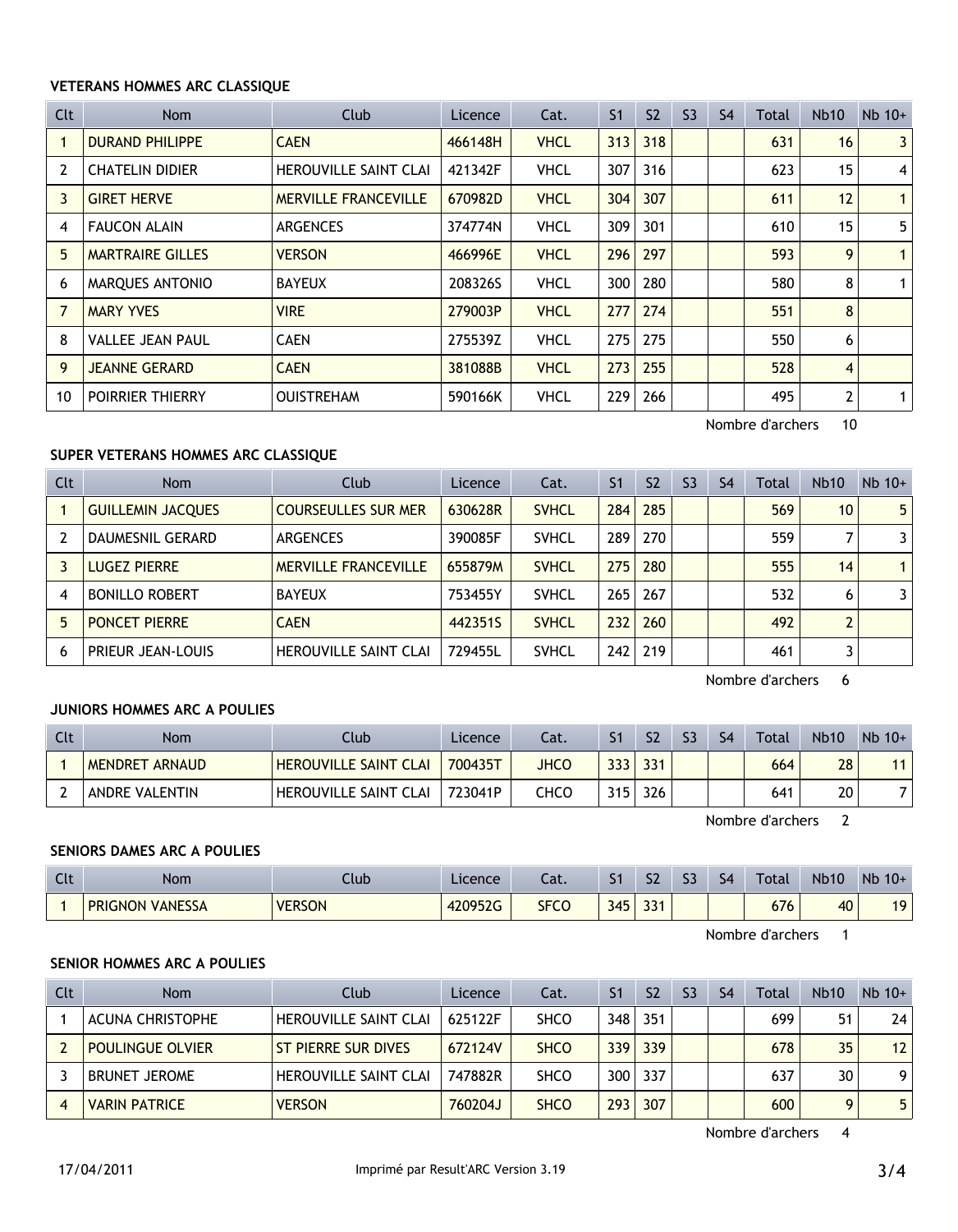#### **VETERANS HOMMES ARC CLASSIQUE**

| Clt | Nom                     | Club                         | Licence | Cat.        | S <sub>1</sub> | S <sub>2</sub> | S <sub>3</sub> | S <sub>4</sub> | Total | Nb10 | $Nb$ 10+       |
|-----|-------------------------|------------------------------|---------|-------------|----------------|----------------|----------------|----------------|-------|------|----------------|
|     | <b>DURAND PHILIPPE</b>  | <b>CAEN</b>                  | 466148H | <b>VHCL</b> | 313            | 318            |                |                | 631   | 16   | 3              |
| 2   | <b>CHATELIN DIDIER</b>  | <b>HEROUVILLE SAINT CLAI</b> | 421342F | <b>VHCL</b> | 307            | 316            |                |                | 623   | 15   | $\overline{4}$ |
| 3   | <b>GIRET HERVE</b>      | <b>MERVILLE FRANCEVILLE</b>  | 670982D | <b>VHCL</b> | 304            | 307            |                |                | 611   | 12   | $\mathbf{1}$   |
| 4   | <b>FAUCON ALAIN</b>     | <b>ARGENCES</b>              | 374774N | <b>VHCL</b> | 309            | 301            |                |                | 610   | 15   | 5              |
| 5.  | <b>MARTRAIRE GILLES</b> | <b>VERSON</b>                | 466996E | <b>VHCL</b> | 296            | 297            |                |                | 593   | 9    | $\mathbf{1}$   |
| 6   | MARQUES ANTONIO         | <b>BAYEUX</b>                | 208326S | <b>VHCL</b> | 300            | 280            |                |                | 580   | 8    | $\mathbf{1}$   |
| 7   | <b>MARY YVES</b>        | <b>VIRE</b>                  | 279003P | <b>VHCL</b> | 277            | 274            |                |                | 551   | 8    |                |
| 8   | <b>VALLEE JEAN PAUL</b> | <b>CAEN</b>                  | 275539Z | <b>VHCL</b> | 275            | 275            |                |                | 550   | 6    |                |
| 9   | <b>JEANNE GERARD</b>    | <b>CAEN</b>                  | 381088B | <b>VHCL</b> | 273            | 255            |                |                | 528   | 4    |                |
| 10  | <b>POIRRIER THIERRY</b> | <b>OUISTREHAM</b>            | 590166K | <b>VHCL</b> | 229            | 266            |                |                | 495   | 2    | 1              |

Nombre d'archers 10

## **SUPER VETERANS HOMMES ARC CLASSIQUE**

| Clt | <b>Nom</b>               | Club                         | Licence | Cat.         | S <sub>1</sub> | S <sub>2</sub> | S <sub>3</sub> | S <sub>4</sub> | Total | <b>Nb10</b>    | $Nb$ 10+       |
|-----|--------------------------|------------------------------|---------|--------------|----------------|----------------|----------------|----------------|-------|----------------|----------------|
|     | <b>GUILLEMIN JACQUES</b> | <b>COURSEULLES SUR MER</b>   | 630628R | <b>SVHCL</b> | 284            | 285            |                |                | 569   | 10             | 5 <sup>1</sup> |
|     | DAUMESNIL GERARD         | <b>ARGENCES</b>              | 390085F | <b>SVHCL</b> | 289            | 270            |                |                | 559   |                | $\overline{3}$ |
|     | Lugez Pierre             | <b>MERVILLE FRANCEVILLE</b>  | 655879M | <b>SVHCL</b> | 275            | 280            |                |                | 555   | 14             | 1 <sup>1</sup> |
| 4   | <b>BONILLO ROBERT</b>    | <b>BAYEUX</b>                | 753455Y | <b>SVHCL</b> | 265            | 267            |                |                | 532   | 6              | 3              |
| 5   | <b>PONCET PIERRE</b>     | <b>CAEN</b>                  | 442351S | <b>SVHCL</b> | 232            | 260            |                |                | 492   | $\overline{2}$ |                |
| 6   | PRIEUR JEAN-LOUIS        | <b>HEROUVILLE SAINT CLAI</b> | 729455L | <b>SVHCL</b> | 242            | 219            |                |                | 461   |                |                |

Nombre d'archers 6

## **JUNIORS HOMMES ARC A POULIES**

| <b>Clt</b> | Nom            | Club                         | Licence | Lat. |     | S <sub>2</sub> | S <sub>3</sub> | S <sub>4</sub> | <b>Total</b> | <b>Nb10</b> | $Nb$ 10+ |
|------------|----------------|------------------------------|---------|------|-----|----------------|----------------|----------------|--------------|-------------|----------|
|            | MENDRET ARNAUD | <b>HEROUVILLE SAINT CLAI</b> | 700435T | JHCO | 333 | 331            |                |                | 664          | 28          | 11       |
|            | ANDRE VALENTIN | <b>HEROUVILLE SAINT CLAI</b> | 723041P | снсс | 315 | 326            |                |                | 641          | 20          |          |

Nombre d'archers 2

## **SENIORS DAMES ARC A POULIES**

| $C1+$<br>นเ | Nom                    | .lub          | Licence               | $\sim$<br>-al. | C <sub>1</sub><br>וכ | S <sub>2</sub> | $\sim$<br>-- | S <sub>4</sub> | Total         | <b>Nb10</b> | Nb<br>$10+$ |
|-------------|------------------------|---------------|-----------------------|----------------|----------------------|----------------|--------------|----------------|---------------|-------------|-------------|
|             | <b>PRIGNON VANESSA</b> | <b>VERSON</b> | 120952G<br><b>HLV</b> | <b>SFCO</b>    | 345<br>τυ<br>-       | 22.<br>ر ر     |              |                | $\sim$<br>676 | 40          | 10          |

Nombre d'archers 1

## **SENIOR HOMMES ARC A POULIES**

| Clt | <b>Nom</b>              | Club                         | Licence | Cat.        | S <sub>1</sub>   | S <sub>2</sub> | S <sub>3</sub> | S <sub>4</sub> | <b>Total</b> | <b>Nb10</b> | $Nb$ 10+        |
|-----|-------------------------|------------------------------|---------|-------------|------------------|----------------|----------------|----------------|--------------|-------------|-----------------|
|     | ACUNA CHRISTOPHE        | <b>HEROUVILLE SAINT CLAI</b> | 625122F | <b>SHCO</b> | 348              | 351            |                |                | 699          | 51          | 24              |
|     | <b>POULINGUE OLVIER</b> | <b>ST PIERRE SUR DIVES</b>   | 672124V | <b>SHCO</b> | 339 <sub>1</sub> | 339            |                |                | 678          | 35          | 12 <sup>2</sup> |
|     | <b>BRUNET JEROME</b>    | <b>HEROUVILLE SAINT CLAI</b> | 747882R | <b>SHCO</b> | 300 <sub>1</sub> | 337            |                |                | 637          | 30          | 9               |
|     | <b>VARIN PATRICE</b>    | <b>VERSON</b>                | 760204J | <b>SHCO</b> | 293              | 307            |                |                | 600          |             | 5.              |

Nombre d'archers 4